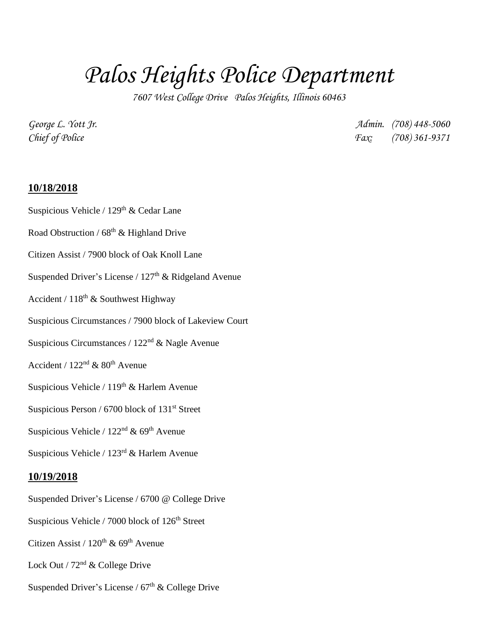# *Palos Heights Police Department*

*7607 West College Drive Palos Heights, Illinois 60463*

*George L. Yott Jr. Admin. (708) 448-5060 Chief of Police Fax: (708) 361-9371*

#### **10/18/2018**

- Suspicious Vehicle /  $129<sup>th</sup>$  & Cedar Lane
- Road Obstruction /  $68<sup>th</sup>$  & Highland Drive
- Citizen Assist / 7900 block of Oak Knoll Lane
- Suspended Driver's License /  $127<sup>th</sup>$  & Ridgeland Avenue
- Accident /  $118^{th}$  & Southwest Highway
- Suspicious Circumstances / 7900 block of Lakeview Court
- Suspicious Circumstances / 122<sup>nd</sup> & Nagle Avenue
- Accident /  $122<sup>nd</sup>$  &  $80<sup>th</sup>$  Avenue
- Suspicious Vehicle /  $119<sup>th</sup>$  & Harlem Avenue
- Suspicious Person / 6700 block of 131<sup>st</sup> Street
- Suspicious Vehicle /  $122<sup>nd</sup>$  &  $69<sup>th</sup>$  Avenue
- Suspicious Vehicle /  $123<sup>rd</sup>$  & Harlem Avenue

#### **10/19/2018**

Suspended Driver's License / 6700 @ College Drive Suspicious Vehicle / 7000 block of  $126<sup>th</sup>$  Street Citizen Assist /  $120^{th}$  &  $69^{th}$  Avenue Lock Out /  $72<sup>nd</sup>$  & College Drive Suspended Driver's License /  $67<sup>th</sup>$  & College Drive